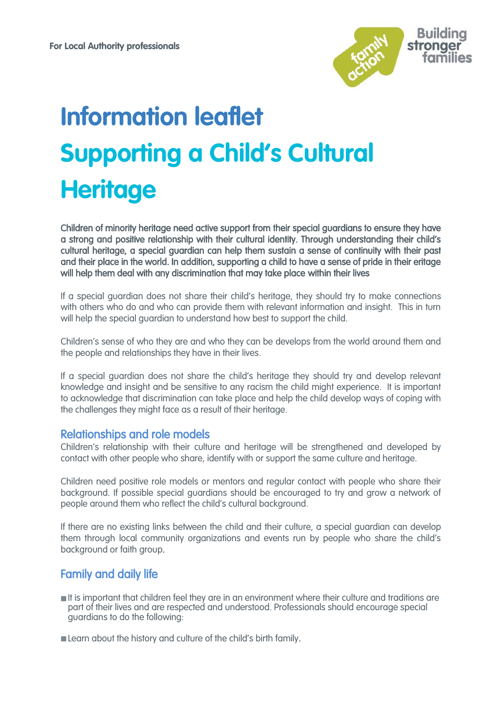

# **Information leaflet Supporting a Child's Cultural Heritage**

Children of minority heritage need active support from their special guardians to ensure they have a strong and positive relationship with their cultural identity. Through understanding their child's cultural heritage, a special guardian can help them sustain a sense of continuity with their past and their place in the world. In addition, supporting a child to have a sense of pride in their eritage will help them deal with any discrimination that may take place within their lives

If a special guardian does not share their child's heritage, they should try to make connections with others who do and who can provide them with relevant information and insight. This in turn will help the special guardian to understand how best to support the child.

Children's sense of who they are and who they can be develops from the world around them and the people and relationships they have in their lives.

If a special guardian does not share the child's heritage they should try and develop relevant knowledge and insight and be sensitive to any racism the child might experience. It is important to acknowledge that discrimination can take place and help the child develop ways of coping with the challenges they might face as a result of their heritage.

## Relationships and role models

Children's relationship with their culture and heritage will be strengthened and developed by contact with other people who share, identify with or support the same culture and heritage.

Children need positive role models or mentors and regular contact with people who share their background. If possible special guardians should be encouraged to try and grow a network of people around them who reflect the child's cultural background.

If there are no existing links between the child and their culture, a special guardian can develop them through local community organizations and events run by people who share the child's background or faith group.

# Family and daily life

- It is important that children feel they are in an environment where their culture and traditions are part of their lives and are respected and understood. Professionals should encourage special guardians to do the following:
- **Example 2** Learn about the history and culture of the child's birth family.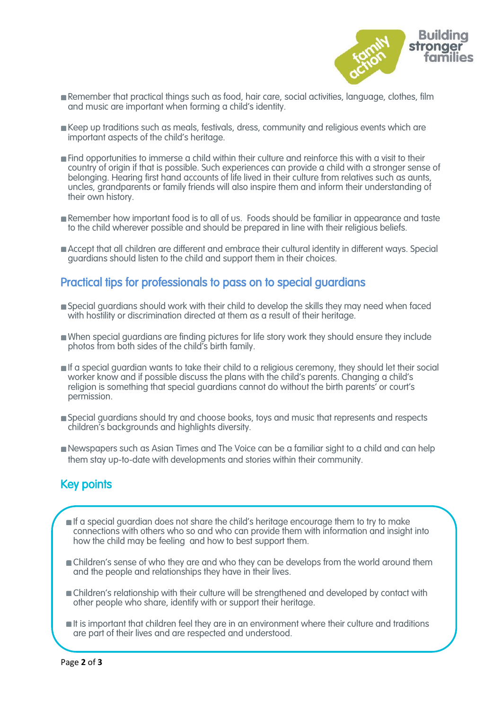

- Remember that practical things such as food, hair care, social activities, language, clothes, film and music are important when forming a child's identity.
- Keep up traditions such as meals, festivals, dress, community and religious events which are important aspects of the child's heritage.
- Find opportunities to immerse a child within their culture and reinforce this with a visit to their country of origin if that is possible. Such experiences can provide a child with a stronger sense of belonging. Hearing first hand accounts of life lived in their culture from relatives such as aunts, uncles, grandparents or family friends will also inspire them and inform their understanding of their own history.
- **Remember how important food is to all of us. Foods should be familiar in appearance and taste** to the child wherever possible and should be prepared in line with their religious beliefs.
- Accept that all children are different and embrace their cultural identity in different ways. Special guardians should listen to the child and support them in their choices.

## Practical tips for professionals to pass on to special guardians

- Special guardians should work with their child to develop the skills they may need when faced with hostility or discrimination directed at them as a result of their heritage.
- When special guardians are finding pictures for life story work they should ensure they include photos from both sides of the child's birth family.
- If a special guardian wants to take their child to a religious ceremony, they should let their social worker know and if possible discuss the plans with the child's parents. Changing a child's religion is something that special guardians cannot do without the birth parents' or court's permission.
- Special guardians should try and choose books, toys and music that represents and respects children's backgrounds and highlights diversity.
- Newspapers such as Asian Times and The Voice can be a familiar sight to a child and can help them stay up-to-date with developments and stories within their community.

# Key points

ł

- **If a special guardian does not share the child's heritage encourage them to try to make** connections with others who so and who can provide them with information and insight into how the child may be feeling and how to best support them.
- **n** Children's sense of who they are and who they can be develops from the world around them and the people and relationships they have in their lives.
- Children's relationship with their culture will be strengthened and developed by contact with other people who share, identify with or support their heritage.
- It is important that children feel they are in an environment where their culture and traditions are part of their lives and are respected and understood.